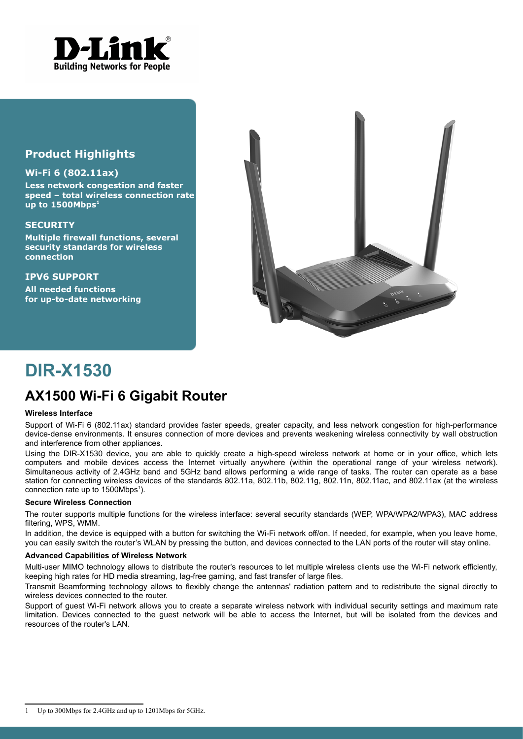

### **Product Highlights**

#### **Wi-Fi 6 (802.11ax)**

**Less network congestion and faster speed – total wireless connection rate up to 1500Mbps[1](#page-0-0)**

#### **SECURITY**

**Multiple firewall functions, several security standards for wireless connection**

**IPV6 SUPPORT All needed functions for up-to-date networking**



# **DIR-X1530**

## **AX1500 Wi-Fi 6 Gigabit Router**

#### **Wireless Interface**

Support of Wi-Fi 6 (802.11ax) standard provides faster speeds, greater capacity, and less network congestion for high-performance device-dense environments. It ensures connection of more devices and prevents weakening wireless connectivity by wall obstruction and interference from other appliances.

Using the DIR-X1530 device, you are able to quickly create a high-speed wireless network at home or in your office, which lets computers and mobile devices access the Internet virtually anywhere (within the operational range of your wireless network). Simultaneous activity of 2.4GHz band and 5GHz band allows performing a wide range of tasks. The router can operate as a base station for connecting wireless devices of the standards 802.11a, 802.11b, 802.11g, 802.11n, 802.11ac, and 802.11ax (at the wireless connection rate up to [1](#page-0-0)500Mbps<sup>1</sup>).

#### **Secure Wireless Connection**

The router supports multiple functions for the wireless interface: several security standards (WEP, WPA/WPA2/WPA3), MAC address filtering, WPS, WMM.

In addition, the device is equipped with a button for switching the Wi-Fi network off/on. If needed, for example, when you leave home, you can easily switch the router's WLAN by pressing the button, and devices connected to the LAN ports of the router will stay online.

#### **Advanced Capabilities of Wireless Network**

Multi-user MIMO technology allows to distribute the router's resources to let multiple wireless clients use the Wi-Fi network efficiently, keeping high rates for HD media streaming, lag-free gaming, and fast transfer of large files.

Transmit Beamforming technology allows to flexibly change the antennas' radiation pattern and to redistribute the signal directly to wireless devices connected to the router.

Support of guest Wi-Fi network allows you to create a separate wireless network with individual security settings and maximum rate limitation. Devices connected to the guest network will be able to access the Internet, but will be isolated from the devices and resources of the router's LAN.

<span id="page-0-0"></span><sup>1</sup> Up to 300Mbps for 2.4GHz and up to 1201Mbps for 5GHz.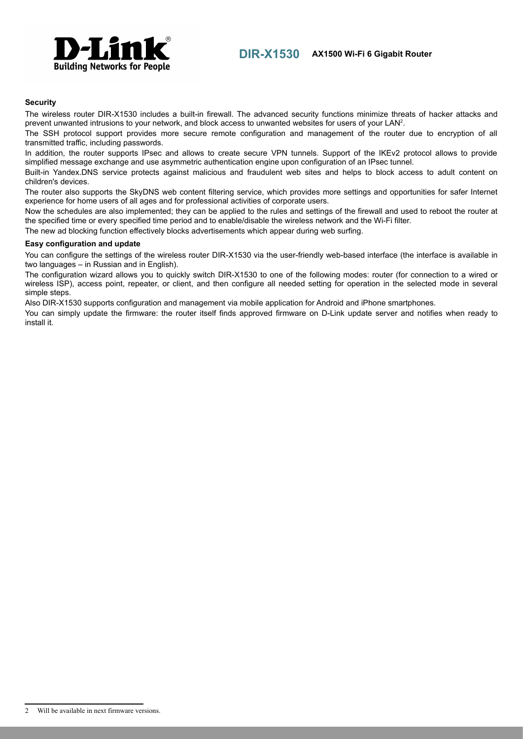

#### **Security**

The wireless router DIR-X1530 includes a built-in firewall. The advanced security functions minimize threats of hacker attacks and prevent unwanted intrusions to your network, and block access to unwanted websites for users of your LAN<sup>[2](#page-1-0)</sup>.

The SSH protocol support provides more secure remote configuration and management of the router due to encryption of all transmitted traffic, including passwords.

In addition, the router supports IPsec and allows to create secure VPN tunnels. Support of the IKEv2 protocol allows to provide simplified message exchange and use asymmetric authentication engine upon configuration of an IPsec tunnel.

Built-in Yandex.DNS service protects against malicious and fraudulent web sites and helps to block access to adult content on children's devices.

The router also supports the SkyDNS web content filtering service, which provides more settings and opportunities for safer Internet experience for home users of all ages and for professional activities of corporate users.

Now the schedules are also implemented; they can be applied to the rules and settings of the firewall and used to reboot the router at the specified time or every specified time period and to enable/disable the wireless network and the Wi-Fi filter.

The new ad blocking function effectively blocks advertisements which appear during web surfing.

#### **Easy configuration and update**

You can configure the settings of the wireless router DIR-X1530 via the user-friendly web-based interface (the interface is available in two languages – in Russian and in English).

The configuration wizard allows you to quickly switch DIR-X1530 to one of the following modes: router (for connection to a wired or wireless ISP), access point, repeater, or client, and then configure all needed setting for operation in the selected mode in several simple steps.

Also DIR-X1530 supports configuration and management via mobile application for Android and iPhone smartphones.

You can simply update the firmware: the router itself finds approved firmware on D-Link update server and notifies when ready to install it.

<span id="page-1-0"></span><sup>2</sup> Will be available in next firmware versions.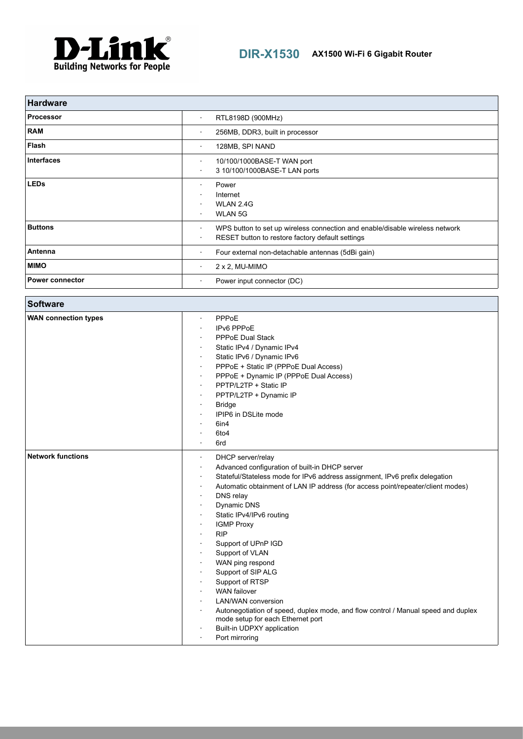

| <b>Hardware</b>        |                                                                                                                                                    |
|------------------------|----------------------------------------------------------------------------------------------------------------------------------------------------|
| <b>Processor</b>       | RTL8198D (900MHz)<br>٠                                                                                                                             |
| <b>RAM</b>             | 256MB, DDR3, built in processor<br>$\bullet$                                                                                                       |
| Flash                  | 128MB, SPI NAND<br>٠                                                                                                                               |
| <b>Interfaces</b>      | 10/100/1000BASE-T WAN port<br>٠<br>3 10/100/1000BASE-T LAN ports<br>$\bullet$                                                                      |
| <b>LEDs</b>            | Power<br>Internet<br>WLAN 2.4G<br><b>WLAN 5G</b><br>٠                                                                                              |
| <b>Buttons</b>         | WPS button to set up wireless connection and enable/disable wireless network<br>٠<br>RESET button to restore factory default settings<br>$\bullet$ |
| Antenna                | Four external non-detachable antennas (5dBi gain)<br>٠                                                                                             |
| <b>MIMO</b>            | $2 \times 2$ , MU-MIMO<br>$\bullet$                                                                                                                |
| <b>Power connector</b> | Power input connector (DC)<br>٠                                                                                                                    |

| <b>Software</b>             |                                                                                                                                                                                                                                                                                                                                                                                                                                                                                                                                                                                                                                                                                    |
|-----------------------------|------------------------------------------------------------------------------------------------------------------------------------------------------------------------------------------------------------------------------------------------------------------------------------------------------------------------------------------------------------------------------------------------------------------------------------------------------------------------------------------------------------------------------------------------------------------------------------------------------------------------------------------------------------------------------------|
| <b>WAN connection types</b> | PPPoE<br>IPv6 PPPoE<br><b>PPPoE Dual Stack</b><br>Static IPv4 / Dynamic IPv4<br>Static IPv6 / Dynamic IPv6<br>PPPoE + Static IP (PPPoE Dual Access)<br>PPPoE + Dynamic IP (PPPoE Dual Access)<br>PPTP/L2TP + Static IP<br>PPTP/L2TP + Dynamic IP<br><b>Bridge</b><br>IPIP6 in DSLite mode<br>6in4<br>6to4<br>6rd                                                                                                                                                                                                                                                                                                                                                                   |
| <b>Network functions</b>    | DHCP server/relay<br>$\bullet$<br>Advanced configuration of built-in DHCP server<br>Stateful/Stateless mode for IPv6 address assignment, IPv6 prefix delegation<br>Automatic obtainment of LAN IP address (for access point/repeater/client modes)<br>DNS relay<br>Dynamic DNS<br>Static IPv4/IPv6 routing<br><b>IGMP Proxy</b><br><b>RIP</b><br>Support of UPnP IGD<br>Support of VLAN<br>WAN ping respond<br>Support of SIP ALG<br>Support of RTSP<br><b>WAN</b> failover<br><b>LAN/WAN</b> conversion<br>Autonegotiation of speed, duplex mode, and flow control / Manual speed and duplex<br>mode setup for each Ethernet port<br>Built-in UDPXY application<br>Port mirroring |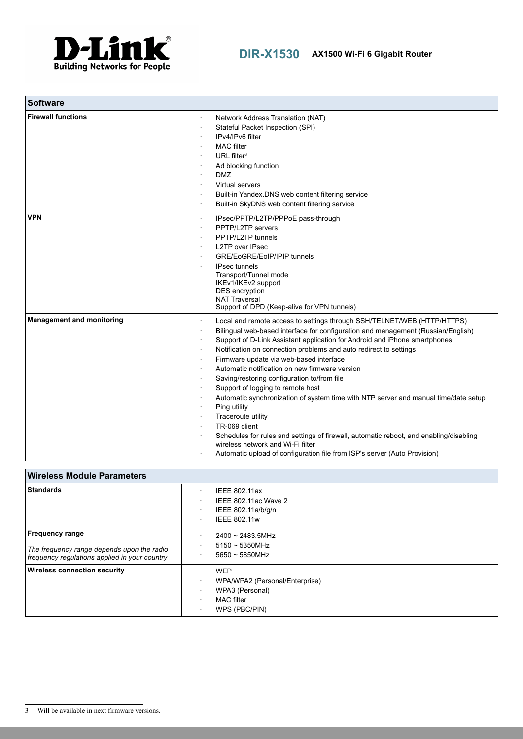

| <b>Software</b>                  |                                                                                                                                                                                                                                                                                                                                                                                                                                                                                                                                                                                                                                                                                                                                                                                                                                                           |
|----------------------------------|-----------------------------------------------------------------------------------------------------------------------------------------------------------------------------------------------------------------------------------------------------------------------------------------------------------------------------------------------------------------------------------------------------------------------------------------------------------------------------------------------------------------------------------------------------------------------------------------------------------------------------------------------------------------------------------------------------------------------------------------------------------------------------------------------------------------------------------------------------------|
| <b>Firewall functions</b>        | Network Address Translation (NAT)<br>Stateful Packet Inspection (SPI)<br>IPv4/IPv6 filter<br><b>MAC</b> filter<br>URL filter $3$<br>Ad blocking function<br><b>DMZ</b><br>Virtual servers<br>Built-in Yandex.DNS web content filtering service<br>Built-in SkyDNS web content filtering service                                                                                                                                                                                                                                                                                                                                                                                                                                                                                                                                                           |
| <b>VPN</b>                       | IPsec/PPTP/L2TP/PPPoE pass-through<br>PPTP/L2TP servers<br>PPTP/L2TP tunnels<br><b>L2TP over IPsec</b><br>GRE/EoGRE/EoIP/IPIP tunnels<br><b>IPsec tunnels</b><br>Transport/Tunnel mode<br>IKEv1/IKEv2 support<br>DES encryption<br><b>NAT Traversal</b><br>Support of DPD (Keep-alive for VPN tunnels)                                                                                                                                                                                                                                                                                                                                                                                                                                                                                                                                                    |
| <b>Management and monitoring</b> | Local and remote access to settings through SSH/TELNET/WEB (HTTP/HTTPS)<br>Bilingual web-based interface for configuration and management (Russian/English)<br>Support of D-Link Assistant application for Android and iPhone smartphones<br>Notification on connection problems and auto redirect to settings<br>Firmware update via web-based interface<br>Automatic notification on new firmware version<br>Saving/restoring configuration to/from file<br>Support of logging to remote host<br>Automatic synchronization of system time with NTP server and manual time/date setup<br>Ping utility<br>Traceroute utility<br>TR-069 client<br>Schedules for rules and settings of firewall, automatic reboot, and enabling/disabling<br>wireless network and Wi-Fi filter<br>Automatic upload of configuration file from ISP's server (Auto Provision) |

| <b>Wireless Module Parameters</b>                                                                                     |                                                                                                       |  |
|-----------------------------------------------------------------------------------------------------------------------|-------------------------------------------------------------------------------------------------------|--|
| <b>Standards</b>                                                                                                      | IEEE 802.11ax<br>٠<br>IEEE 802.11ac Wave 2<br>IEEE 802.11a/b/g/n<br><b>IEEE 802.11w</b>               |  |
| <b>Frequency range</b><br>The frequency range depends upon the radio<br>frequency regulations applied in your country | $2400 \sim 2483.5$ MHz<br>$5150 \sim 5350$ MHz<br>$5650 \sim 5850$ MHz<br>٠                           |  |
| <b>Wireless connection security</b>                                                                                   | <b>WEP</b><br>WPA/WPA2 (Personal/Enterprise)<br>WPA3 (Personal)<br><b>MAC</b> filter<br>WPS (PBC/PIN) |  |

<span id="page-3-0"></span><sup>3</sup> Will be available in next firmware versions.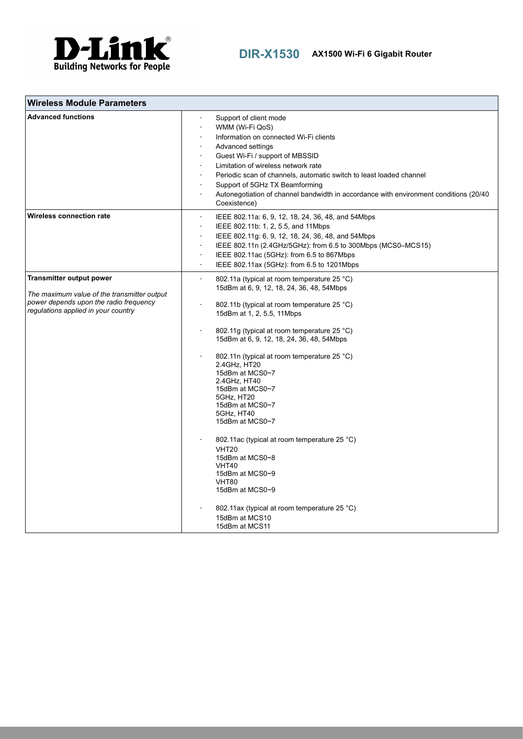

| <b>Wireless Module Parameters</b>                                                                                                                               |                                                                                                                                                                                                                                                                                                                                                                                                                                                                                                                                                                                                                                                                                                                  |
|-----------------------------------------------------------------------------------------------------------------------------------------------------------------|------------------------------------------------------------------------------------------------------------------------------------------------------------------------------------------------------------------------------------------------------------------------------------------------------------------------------------------------------------------------------------------------------------------------------------------------------------------------------------------------------------------------------------------------------------------------------------------------------------------------------------------------------------------------------------------------------------------|
| <b>Advanced functions</b>                                                                                                                                       | Support of client mode<br>WMM (Wi-Fi QoS)<br>Information on connected Wi-Fi clients<br>Advanced settings<br>Guest Wi-Fi / support of MBSSID<br>Limitation of wireless network rate<br>Periodic scan of channels, automatic switch to least loaded channel<br>Support of 5GHz TX Beamforming<br>Autonegotiation of channel bandwidth in accordance with environment conditions (20/40)<br>Coexistence)                                                                                                                                                                                                                                                                                                            |
| Wireless connection rate                                                                                                                                        | IEEE 802.11a: 6, 9, 12, 18, 24, 36, 48, and 54Mbps<br>IEEE 802.11b: 1, 2, 5.5, and 11Mbps<br>$\cdot$<br>IEEE 802.11g: 6, 9, 12, 18, 24, 36, 48, and 54Mbps<br>IEEE 802.11n (2.4GHz/5GHz): from 6.5 to 300Mbps (MCS0-MCS15)<br>$\cdot$<br>IEEE 802.11ac (5GHz): from 6.5 to 867Mbps<br>IEEE 802.11ax (5GHz): from 6.5 to 1201Mbps<br>$\cdot$                                                                                                                                                                                                                                                                                                                                                                      |
| <b>Transmitter output power</b><br>The maximum value of the transmitter output<br>power depends upon the radio frequency<br>regulations applied in your country | $\ddot{\phantom{0}}$<br>802.11a (typical at room temperature 25 °C)<br>15dBm at 6, 9, 12, 18, 24, 36, 48, 54Mbps<br>802.11b (typical at room temperature 25 °C)<br>15dBm at 1, 2, 5.5, 11Mbps<br>802.11g (typical at room temperature 25 °C)<br>15dBm at 6, 9, 12, 18, 24, 36, 48, 54Mbps<br>802.11n (typical at room temperature 25 °C)<br>2.4GHz, HT20<br>15dBm at MCS0~7<br>2.4GHz, HT40<br>15dBm at MCS0~7<br>5GHz, HT20<br>15dBm at MCS0~7<br>5GHz, HT40<br>15dBm at MCS0~7<br>802.11 ac (typical at room temperature 25 °C)<br><b>VHT20</b><br>15dBm at MCS0~8<br>VHT40<br>15dBm at MCS0~9<br>VHT80<br>15dBm at MCS0~9<br>802.11ax (typical at room temperature 25 °C)<br>15dBm at MCS10<br>15dBm at MCS11 |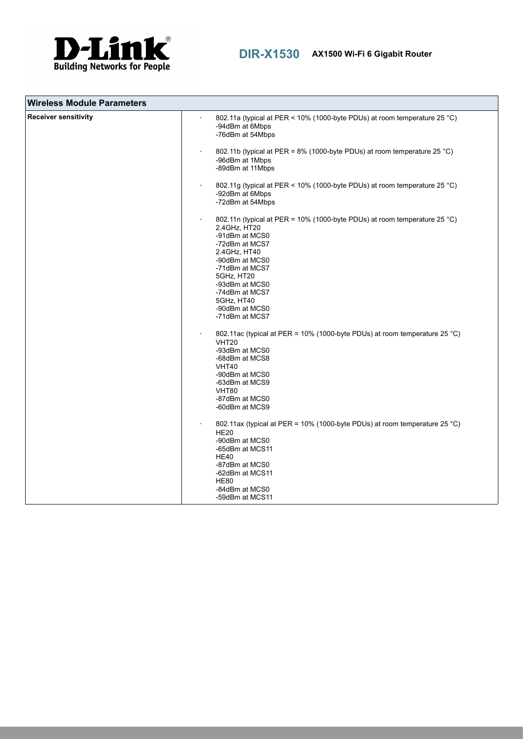

| <b>Wireless Module Parameters</b> |                                                                                                                                                                                                                                                                                       |
|-----------------------------------|---------------------------------------------------------------------------------------------------------------------------------------------------------------------------------------------------------------------------------------------------------------------------------------|
| <b>Receiver sensitivity</b>       | 802.11a (typical at PER < 10% (1000-byte PDUs) at room temperature 25 °C)<br>-94dBm at 6Mbps<br>-76dBm at 54Mbps                                                                                                                                                                      |
|                                   | 802.11b (typical at PER = 8% (1000-byte PDUs) at room temperature 25 °C)<br>-96dBm at 1Mbps<br>-89dBm at 11Mbps                                                                                                                                                                       |
|                                   | 802.11g (typical at PER < 10% (1000-byte PDUs) at room temperature 25 °C)<br>-92dBm at 6Mbps<br>-72dBm at 54Mbps                                                                                                                                                                      |
|                                   | 802.11n (typical at PER = 10% (1000-byte PDUs) at room temperature 25 °C)<br>2.4GHz, HT20<br>-91dBm at MCS0<br>-72dBm at MCS7<br>2.4GHz, HT40<br>-90dBm at MCS0<br>-71dBm at MCS7<br>5GHz, HT20<br>-93dBm at MCS0<br>-74dBm at MCS7<br>5GHz, HT40<br>-90dBm at MCS0<br>-71dBm at MCS7 |
|                                   | 802.11ac (typical at PER = 10% (1000-byte PDUs) at room temperature 25 °C)<br>VHT <sub>20</sub><br>-93dBm at MCS0<br>-68dBm at MCS8<br>VHT40<br>-90dBm at MCS0<br>-63dBm at MCS9<br>VHT80<br>-87dBm at MCS0<br>-60dBm at MCS9                                                         |
|                                   | 802.11ax (typical at PER = 10% (1000-byte PDUs) at room temperature 25 °C)<br><b>HE20</b><br>-90dBm at MCS0<br>-65dBm at MCS11<br><b>HE40</b><br>-87dBm at MCS0<br>-62dBm at MCS11<br><b>HE80</b><br>-84dBm at MCS0<br>-59dBm at MCS11                                                |